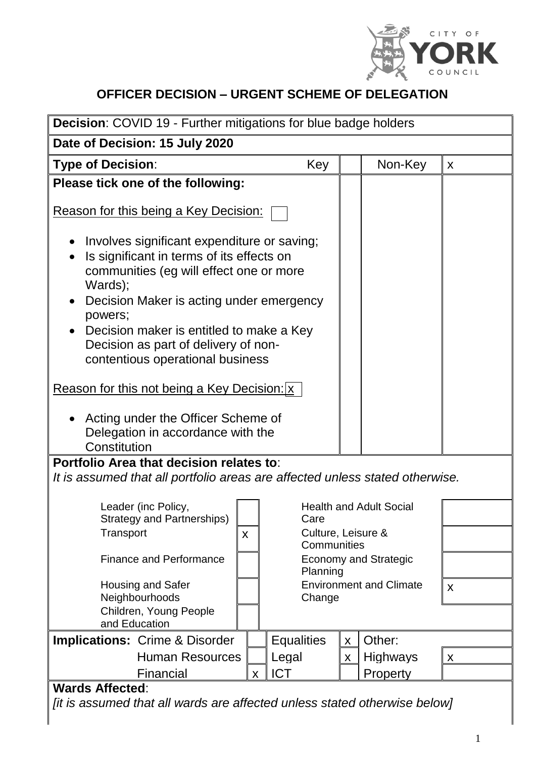

#### **OFFICER DECISION – URGENT SCHEME OF DELEGATION**

| Decision: COVID 19 - Further mitigations for blue badge holders                                                                                                                                                                                                                                                                                                                                                              |  |                                          |   |                 |   |  |
|------------------------------------------------------------------------------------------------------------------------------------------------------------------------------------------------------------------------------------------------------------------------------------------------------------------------------------------------------------------------------------------------------------------------------|--|------------------------------------------|---|-----------------|---|--|
| Date of Decision: 15 July 2020                                                                                                                                                                                                                                                                                                                                                                                               |  |                                          |   |                 |   |  |
| <b>Type of Decision:</b>                                                                                                                                                                                                                                                                                                                                                                                                     |  | Key                                      |   | Non-Key         | X |  |
| Please tick one of the following:                                                                                                                                                                                                                                                                                                                                                                                            |  |                                          |   |                 |   |  |
| <u>Reason for this being a Key Decision:</u><br>Involves significant expenditure or saving;<br>Is significant in terms of its effects on<br>communities (eg will effect one or more<br>Wards);<br>Decision Maker is acting under emergency<br>powers;<br>Decision maker is entitled to make a Key<br>Decision as part of delivery of non-<br>contentious operational business<br>Reason for this not being a Key Decision: x |  |                                          |   |                 |   |  |
| Acting under the Officer Scheme of<br>Delegation in accordance with the<br>Constitution                                                                                                                                                                                                                                                                                                                                      |  |                                          |   |                 |   |  |
| Portfolio Area that decision relates to:<br>It is assumed that all portfolio areas are affected unless stated otherwise.                                                                                                                                                                                                                                                                                                     |  |                                          |   |                 |   |  |
| Leader (inc Policy,<br><b>Strategy and Partnerships)</b>                                                                                                                                                                                                                                                                                                                                                                     |  | <b>Health and Adult Social</b><br>Care   |   |                 |   |  |
| Transport                                                                                                                                                                                                                                                                                                                                                                                                                    |  | Culture, Leisure &<br>Communities        |   |                 |   |  |
| <b>Finance and Performance</b>                                                                                                                                                                                                                                                                                                                                                                                               |  | <b>Economy and Strategic</b><br>Planning |   |                 |   |  |
| <b>Housing and Safer</b><br>Neighbourhoods                                                                                                                                                                                                                                                                                                                                                                                   |  | <b>Environment and Climate</b><br>Change |   |                 | X |  |
| Children, Young People<br>and Education                                                                                                                                                                                                                                                                                                                                                                                      |  |                                          |   |                 |   |  |
| <b>Implications: Crime &amp; Disorder</b>                                                                                                                                                                                                                                                                                                                                                                                    |  | <b>Equalities</b>                        | X | Other:          |   |  |
| <b>Human Resources</b>                                                                                                                                                                                                                                                                                                                                                                                                       |  | Legal                                    | X | <b>Highways</b> | X |  |
| <b>ICT</b><br>Financial<br>Property<br>X<br><b>Wards Affected:</b>                                                                                                                                                                                                                                                                                                                                                           |  |                                          |   |                 |   |  |

*[it is assumed that all wards are affected unless stated otherwise below]*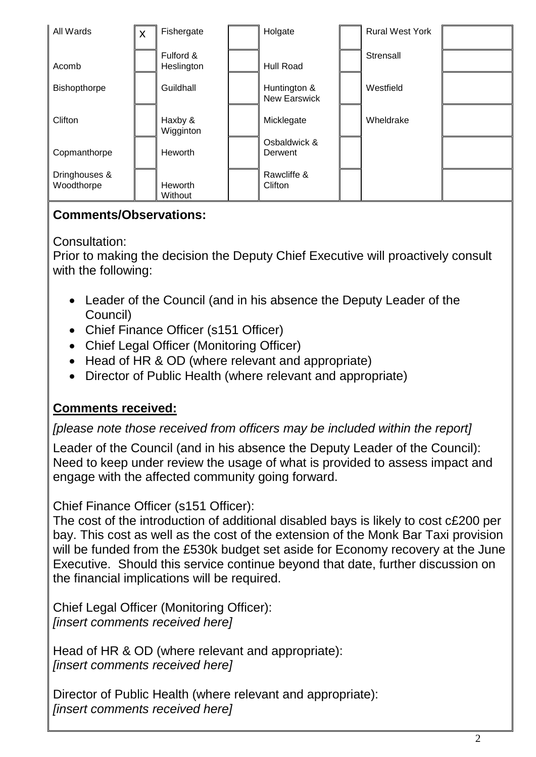

#### **Comments/Observations:**

Consultation:

Prior to making the decision the Deputy Chief Executive will proactively consult with the following:

- Leader of the Council (and in his absence the Deputy Leader of the Council)
- Chief Finance Officer (s151 Officer)
- Chief Legal Officer (Monitoring Officer)
- Head of HR & OD (where relevant and appropriate)
- Director of Public Health (where relevant and appropriate)

# **Comments received:**

# *[please note those received from officers may be included within the report]*

Leader of the Council (and in his absence the Deputy Leader of the Council): Need to keep under review the usage of what is provided to assess impact and engage with the affected community going forward.

Chief Finance Officer (s151 Officer):

The cost of the introduction of additional disabled bays is likely to cost c£200 per bay. This cost as well as the cost of the extension of the Monk Bar Taxi provision will be funded from the £530k budget set aside for Economy recovery at the June Executive. Should this service continue beyond that date, further discussion on the financial implications will be required.

Chief Legal Officer (Monitoring Officer): *[insert comments received here]*

Head of HR & OD (where relevant and appropriate): *[insert comments received here]*

Director of Public Health (where relevant and appropriate): *[insert comments received here]*